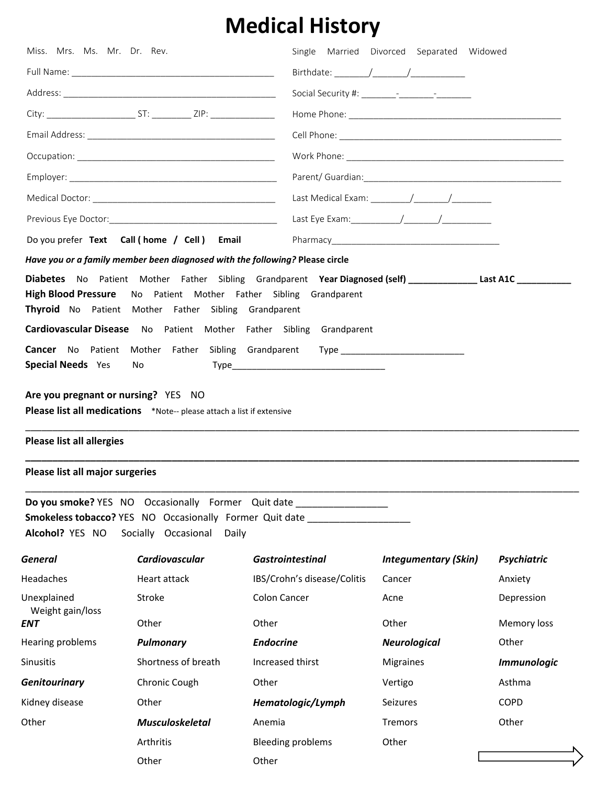## **Medical History**

| Miss. Mrs. Ms. Mr. Dr. Rev.                                                                                                                                                                                                                                                                                                 |                                                                              |                                                                                                                                                          | Single Married Divorced Separated Widowed |                    |  |
|-----------------------------------------------------------------------------------------------------------------------------------------------------------------------------------------------------------------------------------------------------------------------------------------------------------------------------|------------------------------------------------------------------------------|----------------------------------------------------------------------------------------------------------------------------------------------------------|-------------------------------------------|--------------------|--|
|                                                                                                                                                                                                                                                                                                                             |                                                                              |                                                                                                                                                          |                                           |                    |  |
|                                                                                                                                                                                                                                                                                                                             |                                                                              |                                                                                                                                                          |                                           |                    |  |
|                                                                                                                                                                                                                                                                                                                             |                                                                              |                                                                                                                                                          |                                           |                    |  |
|                                                                                                                                                                                                                                                                                                                             |                                                                              |                                                                                                                                                          |                                           |                    |  |
|                                                                                                                                                                                                                                                                                                                             |                                                                              |                                                                                                                                                          |                                           |                    |  |
|                                                                                                                                                                                                                                                                                                                             |                                                                              |                                                                                                                                                          |                                           |                    |  |
|                                                                                                                                                                                                                                                                                                                             |                                                                              |                                                                                                                                                          |                                           |                    |  |
|                                                                                                                                                                                                                                                                                                                             |                                                                              |                                                                                                                                                          |                                           |                    |  |
|                                                                                                                                                                                                                                                                                                                             | Do you prefer Text Call (home / Cell) Email                                  |                                                                                                                                                          |                                           |                    |  |
|                                                                                                                                                                                                                                                                                                                             | Have you or a family member been diagnosed with the following? Please circle |                                                                                                                                                          |                                           |                    |  |
| Diabetes No Patient Mother Father Sibling Grandparent Year Diagnosed (self) _______________Last A1C __________<br><b>High Blood Pressure</b><br>No Patient Mother Father Sibling Grandparent<br>Thyroid No Patient Mother Father Sibling Grandparent<br>Cardiovascular Disease No Patient Mother Father Sibling Grandparent |                                                                              |                                                                                                                                                          |                                           |                    |  |
|                                                                                                                                                                                                                                                                                                                             |                                                                              | Cancer No Patient Mother Father Sibling Grandparent Type _______________________                                                                         |                                           |                    |  |
| <b>Special Needs</b> Yes                                                                                                                                                                                                                                                                                                    | No                                                                           |                                                                                                                                                          |                                           |                    |  |
| <b>Please list all allergies</b><br>Please list all major surgeries                                                                                                                                                                                                                                                         | Please list all medications *Note-- please attach a list if extensive        |                                                                                                                                                          |                                           |                    |  |
|                                                                                                                                                                                                                                                                                                                             |                                                                              |                                                                                                                                                          |                                           |                    |  |
|                                                                                                                                                                                                                                                                                                                             |                                                                              | Do you smoke? YES NO Occasionally Former Quit date _________________<br>Smokeless tobacco? YES NO Occasionally Former Quit date ________________________ |                                           |                    |  |
| Alcohol? YES NO                                                                                                                                                                                                                                                                                                             | Socially Occasional<br>Daily                                                 |                                                                                                                                                          |                                           |                    |  |
| General                                                                                                                                                                                                                                                                                                                     | Cardiovascular                                                               | <b>Gastrointestinal</b>                                                                                                                                  | <b>Integumentary (Skin)</b>               | <b>Psychiatric</b> |  |
| Headaches                                                                                                                                                                                                                                                                                                                   | Heart attack                                                                 | IBS/Crohn's disease/Colitis                                                                                                                              | Cancer                                    | Anxiety            |  |
| Unexplained<br>Weight gain/loss                                                                                                                                                                                                                                                                                             | Stroke                                                                       | <b>Colon Cancer</b>                                                                                                                                      | Acne                                      | Depression         |  |
| ENT                                                                                                                                                                                                                                                                                                                         | Other                                                                        | Other                                                                                                                                                    | Other                                     | Memory loss        |  |
| Hearing problems                                                                                                                                                                                                                                                                                                            | <b>Pulmonary</b>                                                             | <b>Endocrine</b>                                                                                                                                         | <b>Neurological</b>                       | Other              |  |
| Sinusitis                                                                                                                                                                                                                                                                                                                   | Shortness of breath                                                          | Increased thirst                                                                                                                                         | Migraines                                 | <b>Immunologic</b> |  |
| <b>Genitourinary</b>                                                                                                                                                                                                                                                                                                        | Chronic Cough                                                                | Other                                                                                                                                                    | Vertigo                                   | Asthma             |  |
| Kidney disease                                                                                                                                                                                                                                                                                                              | Other                                                                        | Hematologic/Lymph                                                                                                                                        | Seizures                                  | <b>COPD</b>        |  |
| Other                                                                                                                                                                                                                                                                                                                       | <b>Musculoskeletal</b>                                                       | Anemia                                                                                                                                                   | Tremors                                   | Other              |  |
|                                                                                                                                                                                                                                                                                                                             | Arthritis                                                                    | <b>Bleeding problems</b>                                                                                                                                 | Other                                     |                    |  |
|                                                                                                                                                                                                                                                                                                                             | Other                                                                        | Other                                                                                                                                                    |                                           |                    |  |